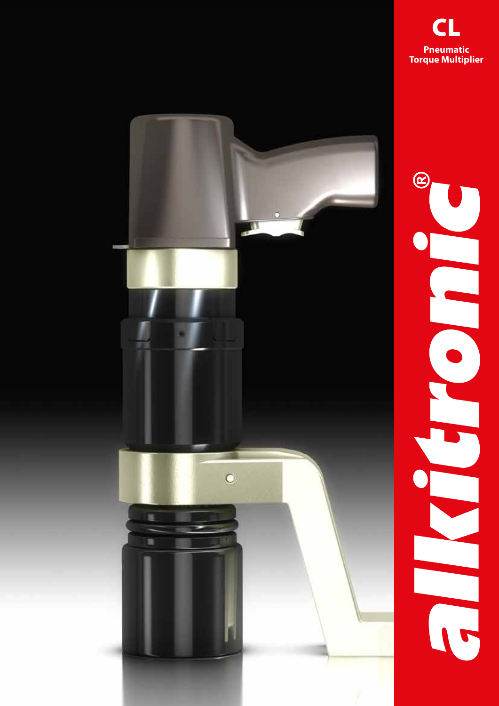

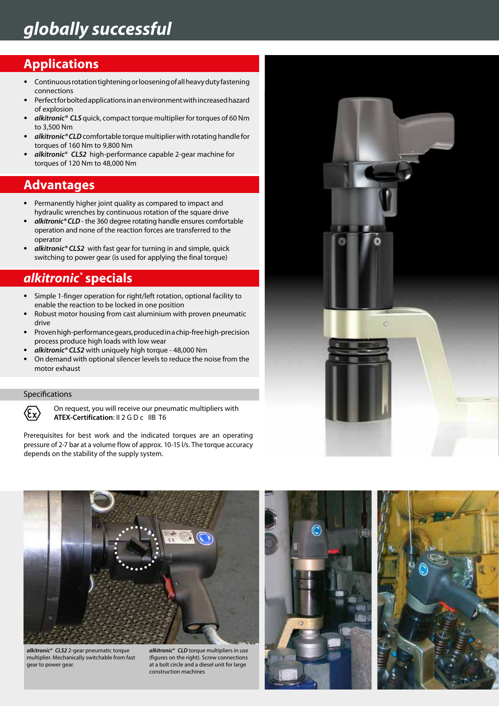## ‑ **Applications**

- **●** Continuous rotation tightening or loosening of all heavy duty fastening connections
- **●** Perfect for bolted applications in an environment with increased hazard of explosion
- **●** *alkitronic® CLS* quick, compact torque multiplier for torques of 60 Nm to 3,500 Nm
- **●** *alkitronic® CLD* comfortable torque multiplier with rotating handle for torques of 160 Nm to 9,800 Nm
- **●** *alkitronic*® *CLS2* high-performance capable 2-gear machine for torques of 120 Nm to 48,000 Nm

## **Advantages**

- **●** Permanently higher joint quality as compared to impact and hydraulic wrenches by continuous rotation of the square drive
- **●** *alkitronic® CLD*  the 360 degree rotating handle ensures comfortable operation and none of the reaction forces are transferred to the operator
- **●** *alkitronic® CLS2* with fast gear for turning in and simple, quick switching to power gear (is used for applying the final torque)

## *alkitronic®*  **specials**

- **●** Simple 1-finger operation for right/left rotation, optional facility to enable the reaction to be locked in one position
- **●** Robust motor housing from cast aluminium with proven pneumatic drive
- **●** Proven high-performance gears, produced in a chip-free high-precision process produce high loads with low wear
- **●** *alkitronic® CLS2* with uniquely high torque 48,000 Nm
- **●** On demand with optional silencer levels to reduce the noise from the motor exhaust

## Specifications



On request, you will receive our pneumatic multipliers with **ATEX-Certification**: II 2 G D c IIB T6

Prerequisites for best work and the indicated torques are an operating pressure of 2-7 bar at a volume flow of approx. 10-15 l/s. The torque accuracy depends on the stability of the supply system.





*alkitronic*® *CLS2* 2-gear pneumatic torque multiplier. Mechanically switchable from fast gear to power gear.

*alkitronic*® *CLD* torque multipliers in use (figures on the right). Screw connections at a bolt circle and a diesel unit for large construction machines



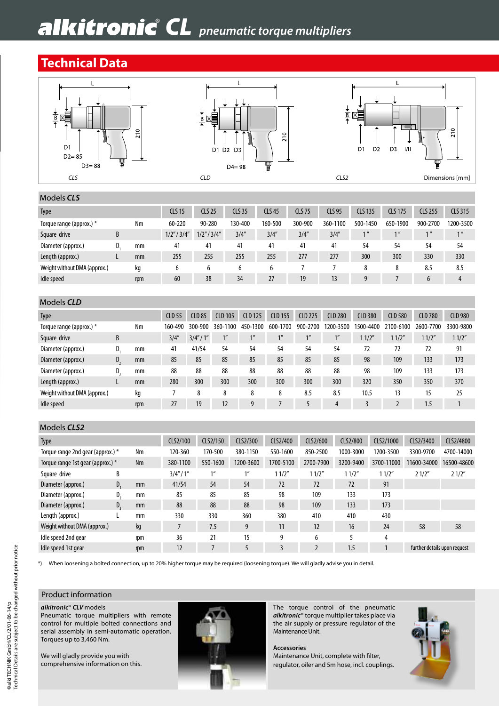## **Alkitronic<sup>®</sup> CL** *pneumatic torque multipliers*

## **Technical Data**



## Models *CLS*

| <b>Type</b>                  |   |    | <b>CLS 15</b>     | <b>CLS 25</b>     | <b>CLS 35</b> | <b>CLS 45</b> | <b>CLS 75</b> | <b>CLS 95</b> | <b>CLS 135</b>     | <b>CLS 175</b>  | <b>CLS 255</b>     | CLS 315   |
|------------------------------|---|----|-------------------|-------------------|---------------|---------------|---------------|---------------|--------------------|-----------------|--------------------|-----------|
| Torque range (approx.) *     |   | Nm | 60-220            | 90-280            | 130-400       | 160-500       | 300-900       | 360-1100      | 500-1450           | 650-1900        | 900-2700           | 1200-3500 |
| Square drive                 | B |    | $1/2$ " / $3/4$ " | $1/2$ " / $3/4$ " | 3/4''         | 3/4''         | 3/4''         | 3/4''         | $1$ $\prime\prime$ | 1 <sup>''</sup> | $1$ $\prime\prime$ | 1''       |
| Diameter (approx.)           | D | mm | 41                | 41                | 41            | 41            | 41            | 41            | 54                 | 54              | 54                 | 54        |
| Length (approx.)             |   | mm | 255               | 255               | 255           | 255           | 277           | 277           | 300                | 300             | 330                | 330       |
| Weight without DMA (approx.) |   | kq |                   |                   |               |               |               |               |                    | ٥               | 8.5                | 8.5       |
| Idle speed                   |   | mm | 60                | 38                | 34            | 27            | 19            | 13            |                    |                 |                    |           |

## Models *CLD*

| Type                         |    |    | <b>CLD 55</b> | <b>CLD 85</b>   | <b>CLD 105</b> | <b>CLD 125</b> | <b>CLD</b><br>155 | <b>CLD 225</b> | <b>CLD 280</b> | <b>CLD 380</b> | <b>CLD 580</b> | <b>CLD 780</b> | <b>CLD 980</b> |
|------------------------------|----|----|---------------|-----------------|----------------|----------------|-------------------|----------------|----------------|----------------|----------------|----------------|----------------|
| Torque range (approx.) *     |    | Nm | 160-490       | $300 -$<br>-900 | 1100<br>360-   | 1300<br>450    | 700<br>$600 -$    | 900-2700       | 200-3500       | 500-4400       | 2100-6100      | 2600-<br>7700  | 3300-9800      |
| Square drive                 | B  |    | 3/4''         | 3/4''/1''       |                | 111            |                   | 1              | 111            | 11/2"          | 1/2"           | 1/2''          | 11/2"          |
| Diameter (approx.)           | D. | mm | 41            | 41/54           | 54             | 54             | 54                | 54             | 54             | 72             | 72             | 72             | 91             |
| Diameter (approx.)           | D. | mm | 85            | 85              | 85             | 85             | 85                | 85             | 85             | 98             | 109            | 133            | 173            |
| Diameter (approx.)           | D. | mm | 88            | 88              | 88             | 88             | 88                | 88             | 88             | 98             | 109            | 133            | 173            |
| Length (approx.)             |    | mm | 280           | 300             | 300            | 300            | 300               | 300            | 300            | 320            | 350            | 350            | 370            |
| Weight without DMA (approx.) |    | kq |               | 8               | 8              | 8              | 8                 | 8.5            | 8.5            | 10.5           | 13             | 15             | 25             |
| Idle speed                   |    | m  | 27            | 19              | 12             | 9              |                   |                | 4              |                |                | 1.5            |                |

## Models *CLS2*

| <b>Type</b>                                    |    |          | CLS2/100  | CLS2/150        | CLS2/300  | CLS2/400  | CLS2/600  | CLS2/800   | CLS2/1000   | CLS2/3400                    | CLS2/4800 |
|------------------------------------------------|----|----------|-----------|-----------------|-----------|-----------|-----------|------------|-------------|------------------------------|-----------|
| Nm<br>Torque range 2nd gear (approx.) *        |    | 120-360  | 170-500   | 380-1150        | 550-1600  | 850-2500  | 1000-3000 | 1200-3500  | 3300-9700   | 4700-14000                   |           |
| <b>Nm</b><br>Torque range 1st gear (approx.) * |    | 380-1100 | 550-1600  | 1200-3600       | 1700-5100 | 2700-7900 | 3200-9400 | 3700-11000 | 11600-34000 | 16500-48600                  |           |
| Square drive                                   | B  |          | 3/4''/1'' | 1 <sup>II</sup> | 1         | 11/2"     | 11/2"     | 1 1/2″     | 11/2"       | 21/2"                        | 21/2"     |
| Diameter (approx.)                             | D. | mm       | 41/54     | 54              | 54        | 72        | 72        | 72         | 91          |                              |           |
| Diameter (approx.)                             | D. | mm       | 85        | 85              | 85        | 98        | 109       | 133        | 173         |                              |           |
| Diameter (approx.)                             | D. | mm       | 88        | 88              | 88        | 98        | 109       | 133        | 173         |                              |           |
| Length (approx.)                               |    | mm       | 330       | 330             | 360       | 380       | 410       | 410        | 430         |                              |           |
| Weight without DMA (approx.)                   |    | kg       |           | 7.5             | 9         | 11        | 12        | 16         | 24          | 58                           | 58        |
| Idle speed 2nd gear                            |    | rpm      | 36        | 21              | 15        | q         | 6         |            | 4           |                              |           |
| Idle speed 1st gear                            |    | mm       | 12        |                 |           |           |           | 1.5        |             | further details upon request |           |

\*) When loosening a bolted connection, up to 20% higher torque may be required (loosening torque). We will gladly advise you in detail.

## Product information

*alkitronic*® *CLV* models Pneumatic torque multipliers with remote control for multiple bolted connections and serial assembly in semi-automatic operation. Torques up to 3,460 Nm.

We will gladly provide you with comprehensive information on this.



The torque control of the pneumatic *alkitronic*® torque multiplier takes place via the air supply or pressure regulator of the Maintenance Unit.

## **Accessories**

Maintenance Unit, complete with filter, regulator, oiler and 5m hose, incl. couplings.